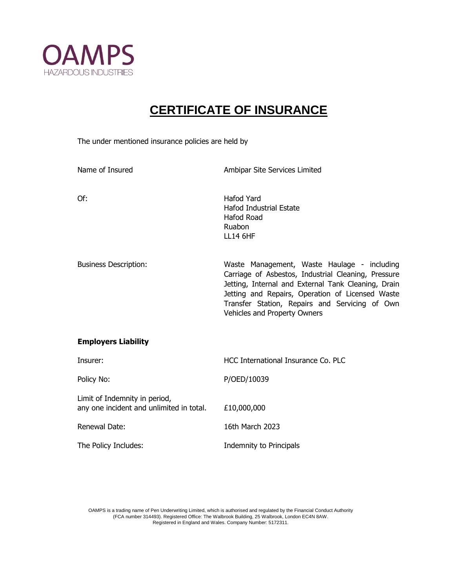

## **CERTIFICATE OF INSURANCE**

The under mentioned insurance policies are held by

| Name of Insured                                                           | Ambipar Site Services Limited                                                                                                                                                                                                                                                                   |
|---------------------------------------------------------------------------|-------------------------------------------------------------------------------------------------------------------------------------------------------------------------------------------------------------------------------------------------------------------------------------------------|
| Of:                                                                       | <b>Hafod Yard</b><br>Hafod Industrial Estate<br><b>Hafod Road</b><br>Ruabon<br><b>LL14 6HF</b>                                                                                                                                                                                                  |
| <b>Business Description:</b>                                              | Waste Management, Waste Haulage - including<br>Carriage of Asbestos, Industrial Cleaning, Pressure<br>Jetting, Internal and External Tank Cleaning, Drain<br>Jetting and Repairs, Operation of Licensed Waste<br>Transfer Station, Repairs and Servicing of Own<br>Vehicles and Property Owners |
| <b>Employers Liability</b>                                                |                                                                                                                                                                                                                                                                                                 |
| Insurer:                                                                  | HCC International Insurance Co. PLC                                                                                                                                                                                                                                                             |
| Policy No:                                                                | P/OED/10039                                                                                                                                                                                                                                                                                     |
| Limit of Indemnity in period,<br>any one incident and unlimited in total. | £10,000,000                                                                                                                                                                                                                                                                                     |
| Renewal Date:                                                             | 16th March 2023                                                                                                                                                                                                                                                                                 |
| The Policy Includes:                                                      | Indemnity to Principals                                                                                                                                                                                                                                                                         |

OAMPS is a trading name of Pen Underwriting Limited, which is authorised and regulated by the Financial Conduct Authority (FCA number 314493). Registered Office: The Walbrook Building, 25 Walbrook, London EC4N 8AW. Registered in England and Wales. Company Number: 5172311.